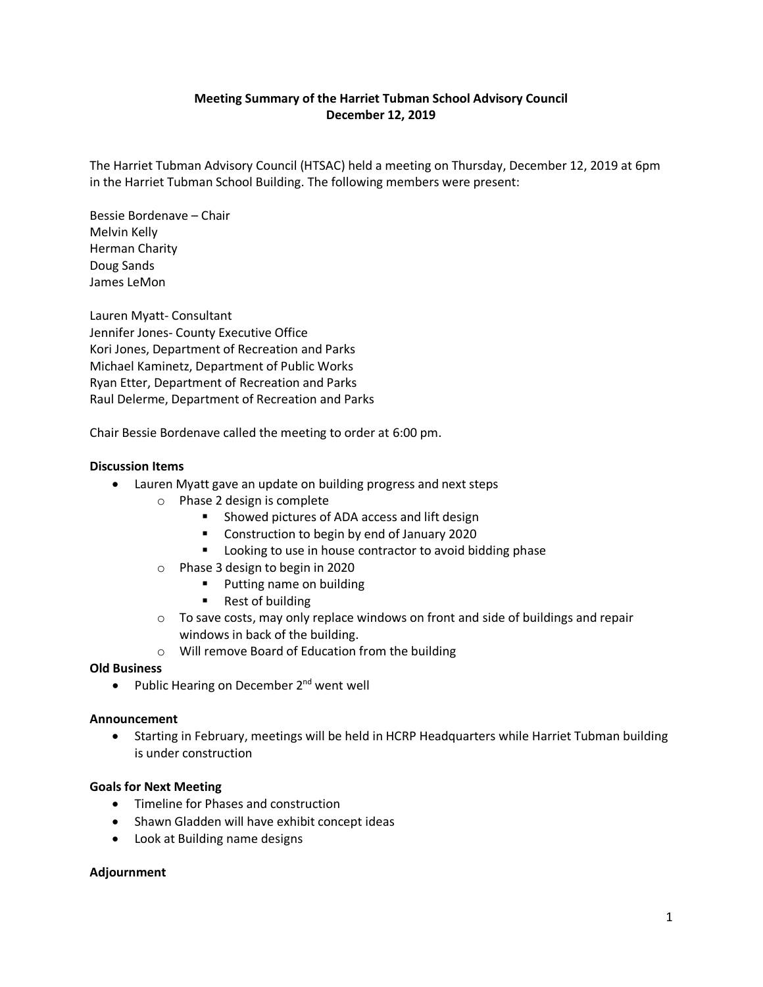# **Meeting Summary of the Harriet Tubman School Advisory Council December 12, 2019**

The Harriet Tubman Advisory Council (HTSAC) held a meeting on Thursday, December 12, 2019 at 6pm in the Harriet Tubman School Building. The following members were present:

Bessie Bordenave – Chair Melvin Kelly Herman Charity Doug Sands James LeMon

Lauren Myatt- Consultant Jennifer Jones- County Executive Office Kori Jones, Department of Recreation and Parks Michael Kaminetz, Department of Public Works Ryan Etter, Department of Recreation and Parks Raul Delerme, Department of Recreation and Parks

Chair Bessie Bordenave called the meeting to order at 6:00 pm.

## **Discussion Items**

- Lauren Myatt gave an update on building progress and next steps
	- o Phase 2 design is complete
		- Showed pictures of ADA access and lift design
		- **Construction to begin by end of January 2020**
		- **Looking to use in house contractor to avoid bidding phase**
	- o Phase 3 design to begin in 2020
		- **Putting name on building**
		- Rest of building
	- $\circ$  To save costs, may only replace windows on front and side of buildings and repair windows in back of the building.
	- o Will remove Board of Education from the building

### **Old Business**

• Public Hearing on December 2<sup>nd</sup> went well

### **Announcement**

• Starting in February, meetings will be held in HCRP Headquarters while Harriet Tubman building is under construction

### **Goals for Next Meeting**

- Timeline for Phases and construction
- Shawn Gladden will have exhibit concept ideas
- Look at Building name designs

### **Adjournment**